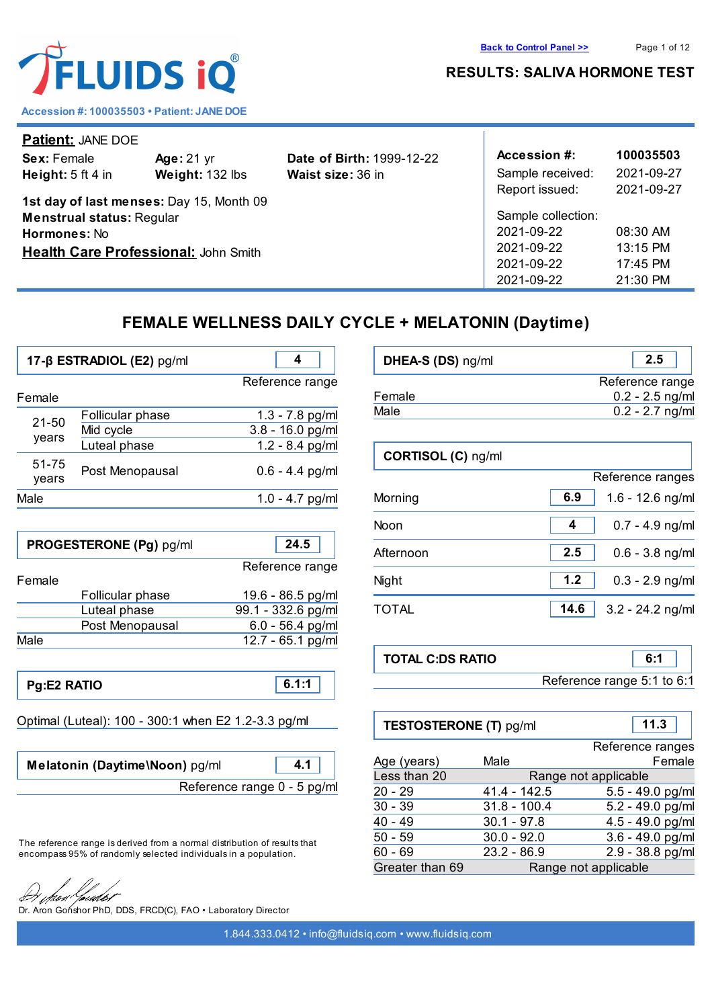



**Accession #: 100035503 • Patient: JANE DOE**

| Patient: JANE DOE                           |                   |                                  |                  |            |
|---------------------------------------------|-------------------|----------------------------------|------------------|------------|
| Sex: Female                                 | <b>Age: 21 yr</b> | <b>Date of Birth: 1999-12-22</b> | Accession #:     | 100035503  |
| Height: $5$ ft 4 in                         | Weight: 132 lbs   | <b>Waist size: 36 in</b>         | Sample received: | 2021-09-27 |
|                                             |                   |                                  | Report issued:   | 2021-09-27 |
| 1st day of last menses: Day 15, Month 09    |                   |                                  |                  |            |
| <b>Menstrual status: Regular</b>            |                   | Sample collection:               |                  |            |
| Hormones: No                                |                   | 2021-09-22                       | 08:30 AM         |            |
| <b>Health Care Professional: John Smith</b> |                   | 2021-09-22                       | 13:15 PM         |            |
|                                             |                   |                                  | 2021-09-22       | $17:45$ PM |
|                                             |                   |                                  | 2021-09-22       | $21:30$ PM |

# **FEMALE WELLNESS DAILY CYCLE + MELATONIN (Daytime)**

|                    | 17-ß ESTRADIOL (E2) pg/ml                     |                                                              |
|--------------------|-----------------------------------------------|--------------------------------------------------------------|
| Female             |                                               | Reference range                                              |
| $21 - 50$<br>years | Follicular phase<br>Mid cycle<br>Luteal phase | $1.3 - 7.8$ pg/ml<br>$3.8 - 16.0$ pg/ml<br>$1.2 - 8.4$ pg/ml |
| 51-75<br>years     | Post Menopausal                               | $0.6 - 4.4$ pg/ml                                            |
| Male               |                                               | $1.0 - 4.7$ pg/ml                                            |

|        | PROGESTERONE (Pg) pg/ml | 24.5               |
|--------|-------------------------|--------------------|
| Female |                         | Reference range    |
|        | Follicular phase        | 19.6 - 86.5 pg/ml  |
|        | Luteal phase            | 99.1 - 332.6 pg/ml |
|        | Post Menopausal         | $6.0 - 56.4$ pg/ml |
| Male   |                         | 12.7 - 65.1 pg/ml  |

**Pg:E2 RATIO 6.1:1**

Optimal (Luteal): 100 - 300:1 when E2 1.2-3.3 pg/ml

**Melatonin (Daytime\Noon)** pg/ml **4.1** Reference range 0 - 5 pg/ml

The reference range is derived from a normal distribution of results that encompass 95% of randomly selected individuals in a population.

rutot

Dr. Aron Gonshor PhD, DDS, FRCD(C), FAO • Laboratory Director

| DHEA-S (DS) ng/ml | 2.5               |
|-------------------|-------------------|
|                   | Reference range   |
| Female            | $0.2 - 2.5$ ng/ml |
| Male              | $0.2 - 2.7$ ng/ml |

| CORTISOL (C) ng/ml |                            |
|--------------------|----------------------------|
|                    | Reference ranges           |
| Morning            | 6.9<br>$1.6 - 12.6$ ng/ml  |
| Noon               | $0.7 - 4.9$ ng/ml<br>4     |
| Afternoon          | 2.5<br>$0.6 - 3.8$ ng/ml   |
| Night              | $1.2$<br>$0.3 - 2.9$ ng/ml |
| TOTAL              | 14.6<br>$3.2 - 24.2$ ng/ml |

| <b>TOTAL C:DS RATIO</b> |                            | 6:1 |
|-------------------------|----------------------------|-----|
|                         | Reference range 5:1 to 6:1 |     |

| <b>TESTOSTERONE (T) pg/ml</b> |                | 11.3                 |
|-------------------------------|----------------|----------------------|
|                               |                | Reference ranges     |
| Age (years)                   | Male           | Female               |
| Less than 20                  |                | Range not applicable |
| 20 - 29                       | $41.4 - 142.5$ | $5.5 - 49.0$ pg/ml   |
| $30 - 39$                     | $31.8 - 100.4$ | 5.2 - 49.0 pg/ml     |
| 40 - 49                       | $30.1 - 97.8$  | 4.5 - 49.0 pg/ml     |
| $50 - 59$                     | $30.0 - 92.0$  | $3.6 - 49.0$ pg/ml   |
| 60 - 69                       | $23.2 - 86.9$  | 2.9 - 38.8 pg/ml     |
| Greater than 69               |                | Range not applicable |

**[Back to Control Panel >>](../clean_session.php)** Page 1 of 12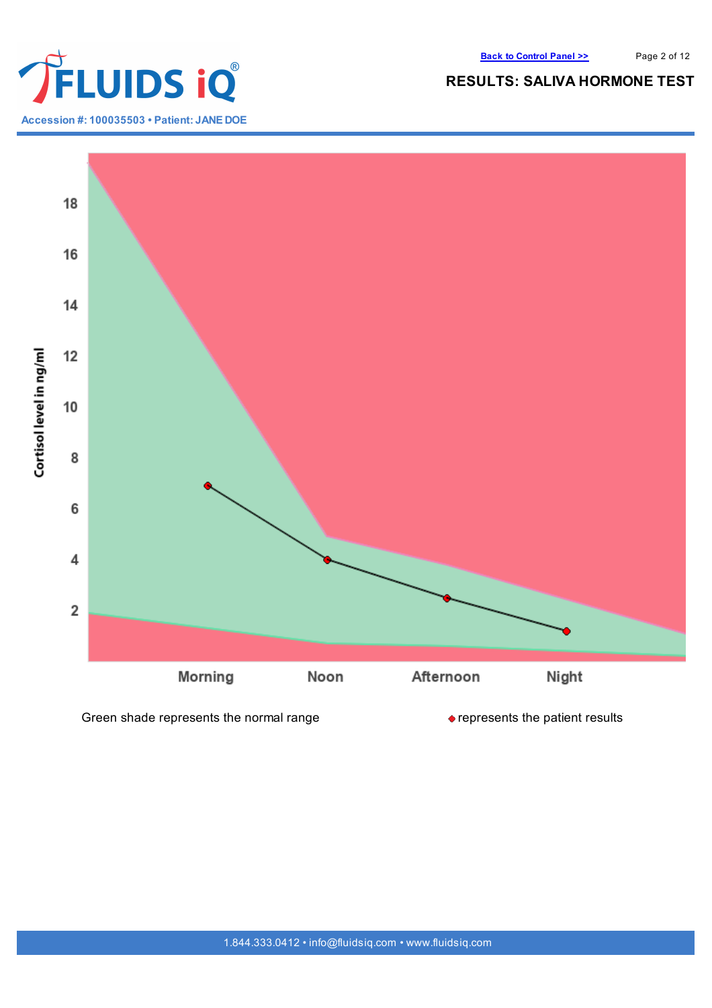

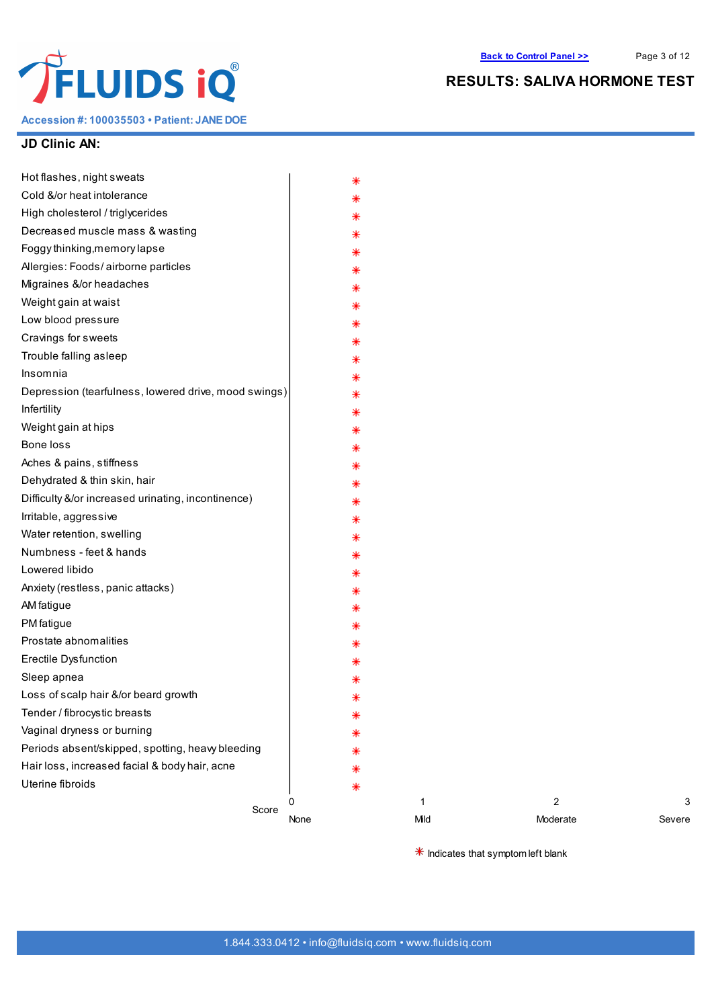

**Accession #: 100035503 • Patient: JANE DOE**

# **RESULTS: SALIVA HORMONE TEST**

#### **JD Clinic AN:**

| ∗<br>⋇<br>⋇<br>⋇                                          |                                                |  |
|-----------------------------------------------------------|------------------------------------------------|--|
|                                                           |                                                |  |
|                                                           |                                                |  |
|                                                           |                                                |  |
|                                                           |                                                |  |
|                                                           |                                                |  |
| ⋇                                                         |                                                |  |
| ⋇                                                         |                                                |  |
| ⋇                                                         |                                                |  |
| ⋇                                                         |                                                |  |
| ⋇                                                         |                                                |  |
| ⋇                                                         |                                                |  |
|                                                           |                                                |  |
| ⋇                                                         |                                                |  |
| ∗                                                         |                                                |  |
| ⋇                                                         |                                                |  |
| ⋇                                                         |                                                |  |
| ⋇                                                         |                                                |  |
| ⋇                                                         |                                                |  |
| ∗                                                         |                                                |  |
| ⋇                                                         |                                                |  |
| ⋇                                                         |                                                |  |
| Depression (tearfulness, lowered drive, mood swings)<br>⋇ |                                                |  |
| ⋇                                                         |                                                |  |
| ⋇                                                         |                                                |  |
|                                                           |                                                |  |
|                                                           |                                                |  |
|                                                           |                                                |  |
|                                                           |                                                |  |
|                                                           |                                                |  |
|                                                           |                                                |  |
|                                                           |                                                |  |
| ⋇                                                         |                                                |  |
|                                                           |                                                |  |
|                                                           | ⋇<br>⋇<br>⋇<br>⋇<br>⋇<br>⋇<br>⋇<br>⋇<br>∗<br>⋇ |  |

 $*$  Indicates that symptom left blank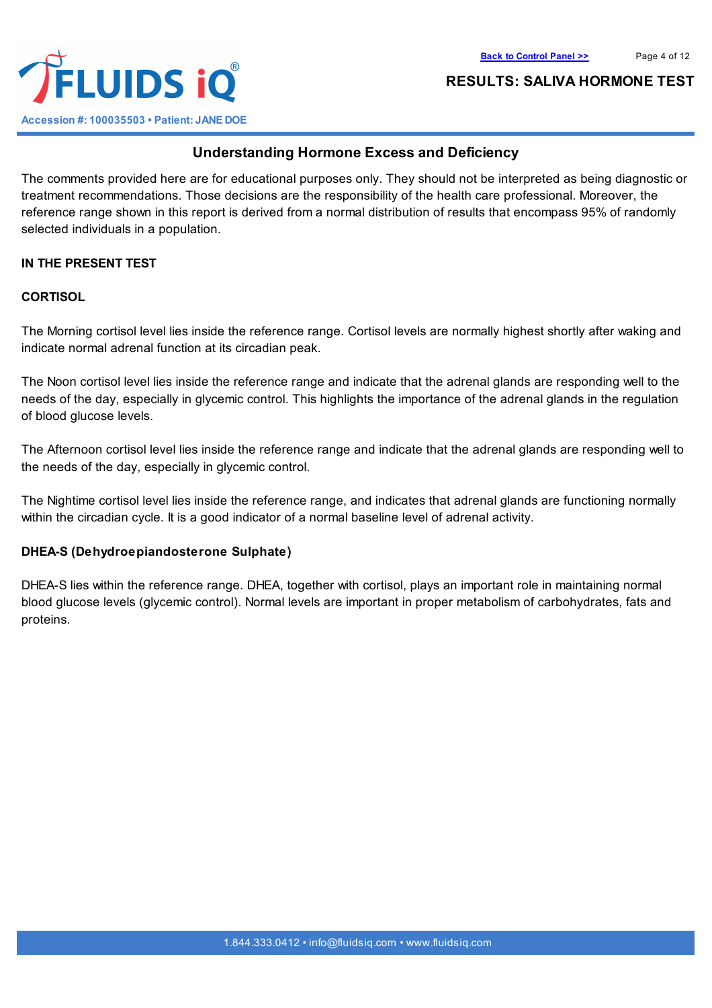

## **Understanding Hormone Excess and Deficiency**

The comments provided here are for educational purposes only. They should not be interpreted as being diagnostic or treatment recommendations. Those decisions are the responsibility of the health care professional. Moreover, the reference range shown in this report is derived from a normal distribution of results that encompass 95% of randomly selected individuals in a population.

#### **IN THE PRESENT TEST**

#### **CORTISOL**

The Morning cortisol level lies inside the reference range. Cortisol levels are normally highest shortly after waking and indicate normal adrenal function at its circadian peak.

The Noon cortisol level lies inside the reference range and indicate that the adrenal glands are responding well to the needs of the day, especially in glycemic control. This highlights the importance of the adrenal glands in the regulation of blood glucose levels.

The Afternoon cortisol level lies inside the reference range and indicate that the adrenal glands are responding well to the needs of the day, especially in glycemic control.

The Nightime cortisol level lies inside the reference range, and indicates that adrenal glands are functioning normally within the circadian cycle. It is a good indicator of a normal baseline level of adrenal activity.

#### **DHEA-S (Dehydroepiandosterone Sulphate)**

DHEA-S lies within the reference range. DHEA, together with cortisol, plays an important role in maintaining normal blood glucose levels (glycemic control). Normal levels are important in proper metabolism of carbohydrates, fats and proteins.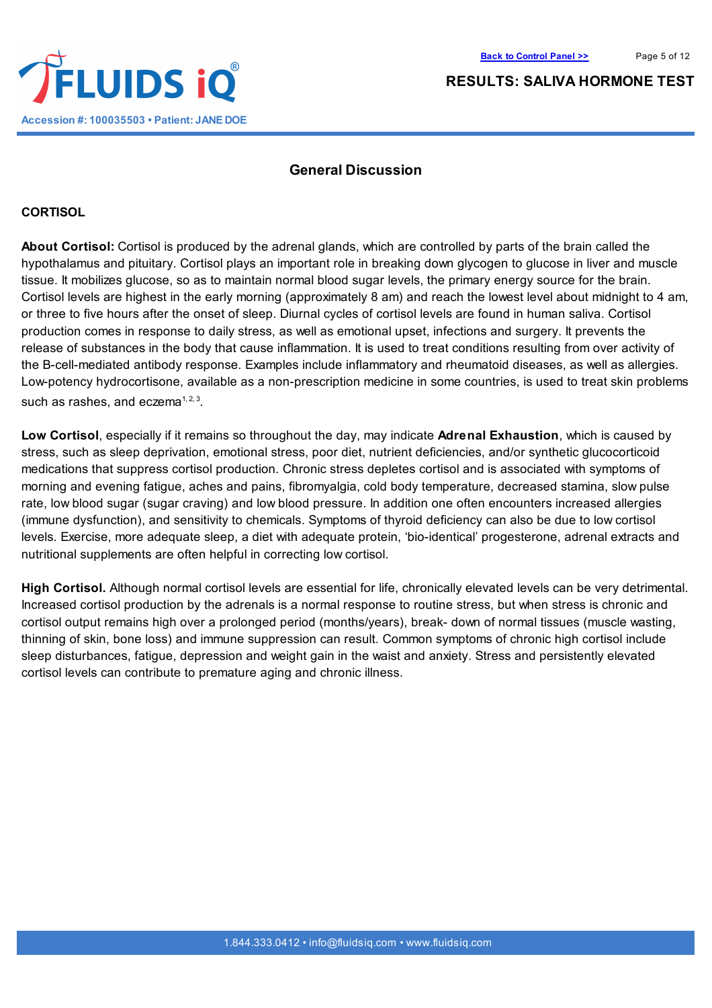

#### **General Discussion**

#### **CORTISOL**

**About Cortisol:** Cortisol is produced by the adrenal glands, which are controlled by parts of the brain called the hypothalamus and pituitary. Cortisol plays an important role in breaking down glycogen to glucose in liver and muscle tissue. It mobilizes glucose, so as to maintain normal blood sugar levels, the primary energy source for the brain. Cortisol levels are highest in the early morning (approximately 8 am) and reach the lowest level about midnight to 4 am, or three to five hours after the onset of sleep. Diurnal cycles of cortisol levels are found in human saliva. Cortisol production comes in response to daily stress, as well as emotional upset, infections and surgery. It prevents the release of substances in the body that cause inflammation. It is used to treat conditions resulting from over activity of the B-cell-mediated antibody response. Examples include inflammatory and rheumatoid diseases, as well as allergies. Low-potency hydrocortisone, available as a non-prescription medicine in some countries, is used to treat skin problems such as rashes, and eczema $1, 2, 3$ .

**Low Cortisol**, especially if it remains so throughout the day, may indicate **Adrenal Exhaustion**, which is caused by stress, such as sleep deprivation, emotional stress, poor diet, nutrient deficiencies, and/or synthetic glucocorticoid medications that suppress cortisol production. Chronic stress depletes cortisol and is associated with symptoms of morning and evening fatigue, aches and pains, fibromyalgia, cold body temperature, decreased stamina, slow pulse rate, low blood sugar (sugar craving) and low blood pressure. In addition one often encounters increased allergies (immune dysfunction), and sensitivity to chemicals. Symptoms of thyroid deficiency can also be due to low cortisol levels. Exercise, more adequate sleep, a diet with adequate protein, 'bio-identical' progesterone, adrenal extracts and nutritional supplements are often helpful in correcting low cortisol.

**High Cortisol.** Although normal cortisol levels are essential for life, chronically elevated levels can be very detrimental. Increased cortisol production by the adrenals is a normal response to routine stress, but when stress is chronic and cortisol output remains high over a prolonged period (months/years), break- down of normal tissues (muscle wasting, thinning of skin, bone loss) and immune suppression can result. Common symptoms of chronic high cortisol include sleep disturbances, fatigue, depression and weight gain in the waist and anxiety. Stress and persistently elevated cortisol levels can contribute to premature aging and chronic illness.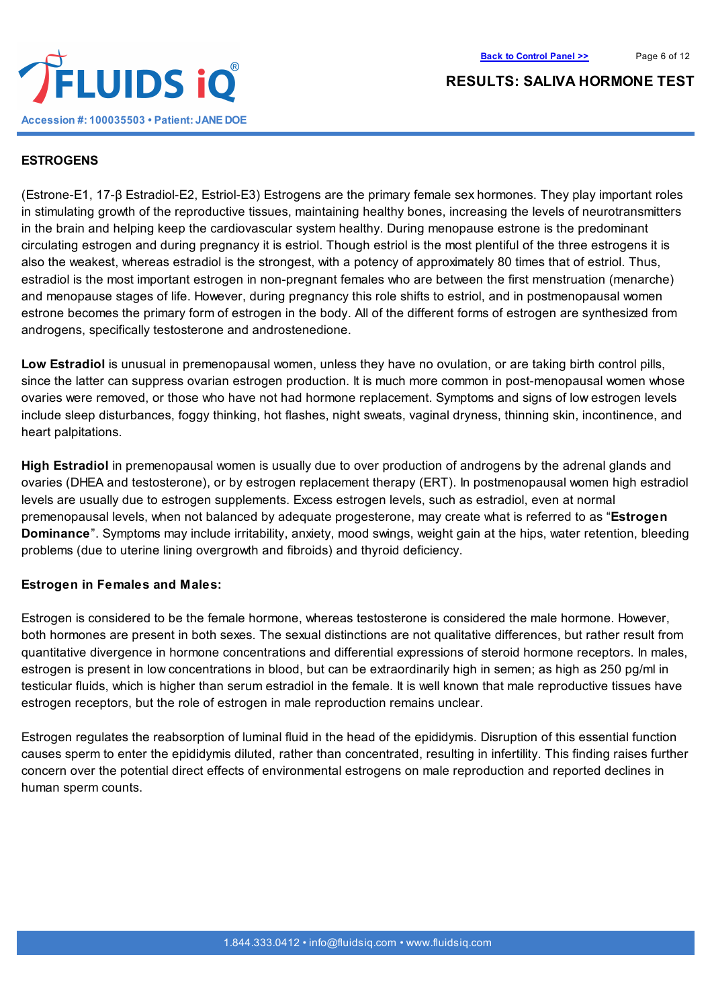



#### **ESTROGENS**

(Estrone-E1, 17-β Estradiol-E2, Estriol-E3) Estrogens are the primary female sex hormones. They play important roles in stimulating growth of the reproductive tissues, maintaining healthy bones, increasing the levels of neurotransmitters in the brain and helping keep the cardiovascular system healthy. During menopause estrone is the predominant circulating estrogen and during pregnancy it is estriol. Though estriol is the most plentiful of the three estrogens it is also the weakest, whereas estradiol is the strongest, with a potency of approximately 80 times that of estriol. Thus, estradiol is the most important estrogen in non-pregnant females who are between the first menstruation (menarche) and menopause stages of life. However, during pregnancy this role shifts to estriol, and in postmenopausal women estrone becomes the primary form of estrogen in the body. All of the different forms of estrogen are synthesized from androgens, specifically testosterone and androstenedione.

**Low Estradiol** is unusual in premenopausal women, unless they have no ovulation, or are taking birth control pills, since the latter can suppress ovarian estrogen production. It is much more common in post-menopausal women whose ovaries were removed, or those who have not had hormone replacement. Symptoms and signs of low estrogen levels include sleep disturbances, foggy thinking, hot flashes, night sweats, vaginal dryness, thinning skin, incontinence, and heart palpitations.

**High Estradiol** in premenopausal women is usually due to over production of androgens by the adrenal glands and ovaries (DHEA and testosterone), or by estrogen replacement therapy (ERT). In postmenopausal women high estradiol levels are usually due to estrogen supplements. Excess estrogen levels, such as estradiol, even at normal premenopausal levels, when not balanced by adequate progesterone, may create what is referred to as "**Estrogen Dominance**". Symptoms may include irritability, anxiety, mood swings, weight gain at the hips, water retention, bleeding problems (due to uterine lining overgrowth and fibroids) and thyroid deficiency.

#### **Estrogen in Females and Males:**

Estrogen is considered to be the female hormone, whereas testosterone is considered the male hormone. However, both hormones are present in both sexes. The sexual distinctions are not qualitative differences, but rather result from quantitative divergence in hormone concentrations and differential expressions of steroid hormone receptors. In males, estrogen is present in low concentrations in blood, but can be extraordinarily high in semen; as high as 250 pg/ml in testicular fluids, which is higher than serum estradiol in the female. It is well known that male reproductive tissues have estrogen receptors, but the role of estrogen in male reproduction remains unclear.

Estrogen regulates the reabsorption of luminal fluid in the head of the epididymis. Disruption of this essential function causes sperm to enter the epididymis diluted, rather than concentrated, resulting in infertility. This finding raises further concern over the potential direct effects of environmental estrogens on male reproduction and reported declines in human sperm counts.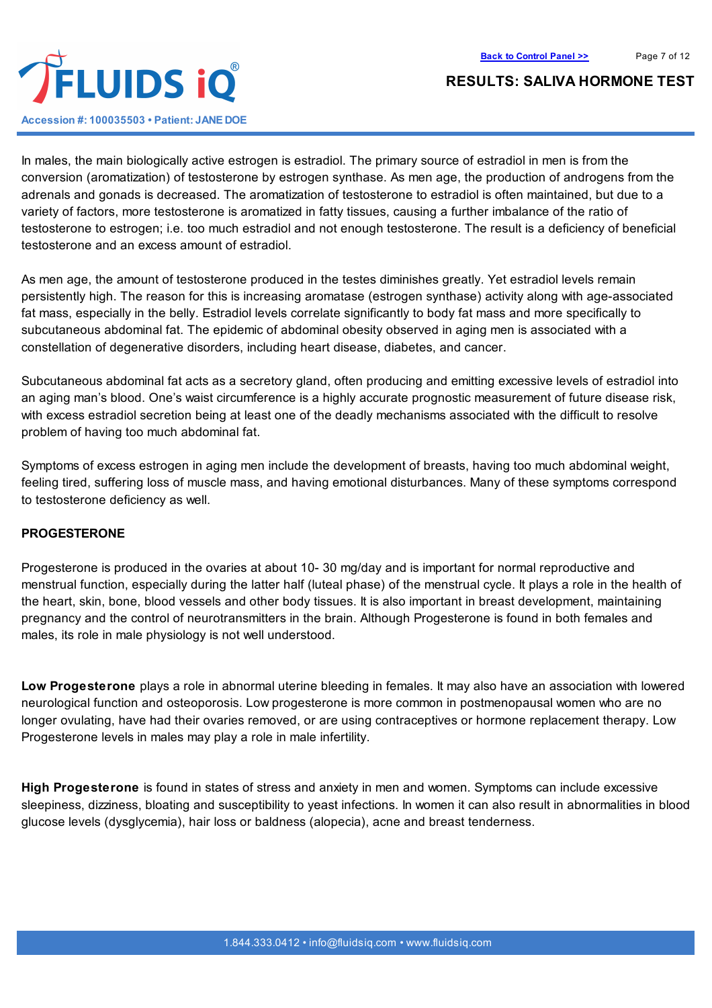

In males, the main biologically active estrogen is estradiol. The primary source of estradiol in men is from the conversion (aromatization) of testosterone by estrogen synthase. As men age, the production of androgens from the adrenals and gonads is decreased. The aromatization of testosterone to estradiol is often maintained, but due to a variety of factors, more testosterone is aromatized in fatty tissues, causing a further imbalance of the ratio of testosterone to estrogen; i.e. too much estradiol and not enough testosterone. The result is a deficiency of beneficial testosterone and an excess amount of estradiol.

As men age, the amount of testosterone produced in the testes diminishes greatly. Yet estradiol levels remain persistently high. The reason for this is increasing aromatase (estrogen synthase) activity along with age-associated fat mass, especially in the belly. Estradiol levels correlate significantly to body fat mass and more specifically to subcutaneous abdominal fat. The epidemic of abdominal obesity observed in aging men is associated with a constellation of degenerative disorders, including heart disease, diabetes, and cancer.

Subcutaneous abdominal fat acts as a secretory gland, often producing and emitting excessive levels of estradiol into an aging man's blood. One's waist circumference is a highly accurate prognostic measurement of future disease risk, with excess estradiol secretion being at least one of the deadly mechanisms associated with the difficult to resolve problem of having too much abdominal fat.

Symptoms of excess estrogen in aging men include the development of breasts, having too much abdominal weight, feeling tired, suffering loss of muscle mass, and having emotional disturbances. Many of these symptoms correspond to testosterone deficiency as well.

#### **PROGESTERONE**

Progesterone is produced in the ovaries at about 10- 30 mg/day and is important for normal reproductive and menstrual function, especially during the latter half (luteal phase) of the menstrual cycle. It plays a role in the health of the heart, skin, bone, blood vessels and other body tissues. It is also important in breast development, maintaining pregnancy and the control of neurotransmitters in the brain. Although Progesterone is found in both females and males, its role in male physiology is not well understood.

**Low Progesterone** plays a role in abnormal uterine bleeding in females. It may also have an association with lowered neurological function and osteoporosis. Low progesterone is more common in postmenopausal women who are no longer ovulating, have had their ovaries removed, or are using contraceptives or hormone replacement therapy. Low Progesterone levels in males may play a role in male infertility.

**High Progesterone** is found in states of stress and anxiety in men and women. Symptoms can include excessive sleepiness, dizziness, bloating and susceptibility to yeast infections. In women it can also result in abnormalities in blood glucose levels (dysglycemia), hair loss or baldness (alopecia), acne and breast tenderness.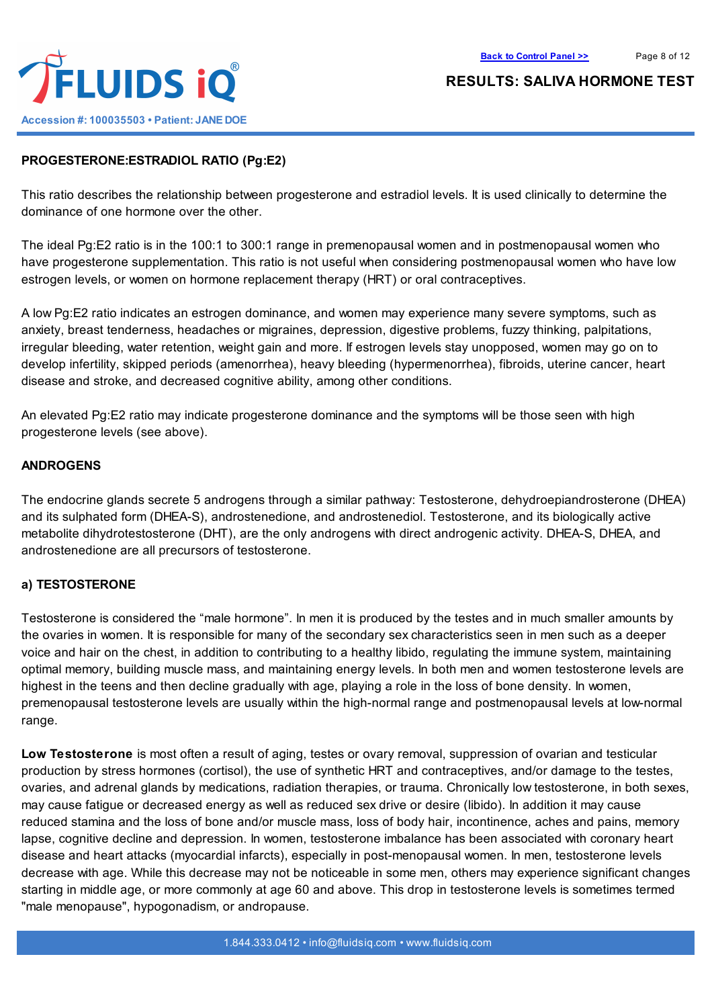

# **PROGESTERONE:ESTRADIOL RATIO (Pg:E2)**

This ratio describes the relationship between progesterone and estradiol levels. It is used clinically to determine the dominance of one hormone over the other.

The ideal Pg:E2 ratio is in the 100:1 to 300:1 range in premenopausal women and in postmenopausal women who have progesterone supplementation. This ratio is not useful when considering postmenopausal women who have low estrogen levels, or women on hormone replacement therapy (HRT) or oral contraceptives.

A low Pg:E2 ratio indicates an estrogen dominance, and women may experience many severe symptoms, such as anxiety, breast tenderness, headaches or migraines, depression, digestive problems, fuzzy thinking, palpitations, irregular bleeding, water retention, weight gain and more. If estrogen levels stay unopposed, women may go on to develop infertility, skipped periods (amenorrhea), heavy bleeding (hypermenorrhea), fibroids, uterine cancer, heart disease and stroke, and decreased cognitive ability, among other conditions.

An elevated Pg:E2 ratio may indicate progesterone dominance and the symptoms will be those seen with high progesterone levels (see above).

#### **ANDROGENS**

The endocrine glands secrete 5 androgens through a similar pathway: Testosterone, dehydroepiandrosterone (DHEA) and its sulphated form (DHEA-S), androstenedione, and androstenediol. Testosterone, and its biologically active metabolite dihydrotestosterone (DHT), are the only androgens with direct androgenic activity. DHEA-S, DHEA, and androstenedione are all precursors of testosterone.

#### **a) TESTOSTERONE**

Testosterone is considered the "male hormone". In men it is produced by the testes and in much smaller amounts by the ovaries in women. It is responsible for many of the secondary sex characteristics seen in men such as a deeper voice and hair on the chest, in addition to contributing to a healthy libido, regulating the immune system, maintaining optimal memory, building muscle mass, and maintaining energy levels. In both men and women testosterone levels are highest in the teens and then decline gradually with age, playing a role in the loss of bone density. In women, premenopausal testosterone levels are usually within the high-normal range and postmenopausal levels at low-normal range.

**Low Testosterone** is most often a result of aging, testes or ovary removal, suppression of ovarian and testicular production by stress hormones (cortisol), the use of synthetic HRT and contraceptives, and/or damage to the testes, ovaries, and adrenal glands by medications, radiation therapies, or trauma. Chronically low testosterone, in both sexes, may cause fatigue or decreased energy as well as reduced sex drive or desire (libido). In addition it may cause reduced stamina and the loss of bone and/or muscle mass, loss of body hair, incontinence, aches and pains, memory lapse, cognitive decline and depression. In women, testosterone imbalance has been associated with coronary heart disease and heart attacks (myocardial infarcts), especially in post-menopausal women. In men, testosterone levels decrease with age. While this decrease may not be noticeable in some men, others may experience significant changes starting in middle age, or more commonly at age 60 and above. This drop in testosterone levels is sometimes termed "male menopause", hypogonadism, or andropause.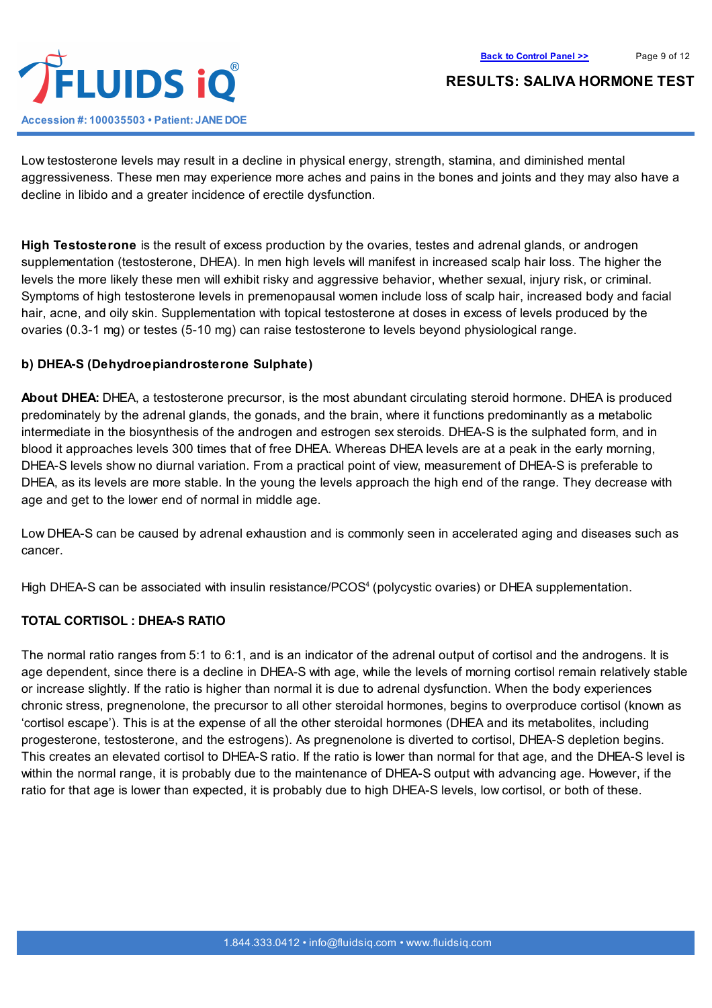



Low testosterone levels may result in a decline in physical energy, strength, stamina, and diminished mental aggressiveness. These men may experience more aches and pains in the bones and joints and they may also have a decline in libido and a greater incidence of erectile dysfunction.

**High Testosterone** is the result of excess production by the ovaries, testes and adrenal glands, or androgen supplementation (testosterone, DHEA). In men high levels will manifest in increased scalp hair loss. The higher the levels the more likely these men will exhibit risky and aggressive behavior, whether sexual, injury risk, or criminal. Symptoms of high testosterone levels in premenopausal women include loss of scalp hair, increased body and facial hair, acne, and oily skin. Supplementation with topical testosterone at doses in excess of levels produced by the ovaries (0.3-1 mg) or testes (5-10 mg) can raise testosterone to levels beyond physiological range.

### **b) DHEA-S (Dehydroepiandrosterone Sulphate)**

**About DHEA:** DHEA, a testosterone precursor, is the most abundant circulating steroid hormone. DHEA is produced predominately by the adrenal glands, the gonads, and the brain, where it functions predominantly as a metabolic intermediate in the biosynthesis of the androgen and estrogen sex steroids. DHEA-S is the sulphated form, and in blood it approaches levels 300 times that of free DHEA. Whereas DHEA levels are at a peak in the early morning, DHEA-S levels show no diurnal variation. From a practical point of view, measurement of DHEA-S is preferable to DHEA, as its levels are more stable. In the young the levels approach the high end of the range. They decrease with age and get to the lower end of normal in middle age.

Low DHEA-S can be caused by adrenal exhaustion and is commonly seen in accelerated aging and diseases such as cancer.

High DHEA-S can be associated with insulin resistance/PCOS 4 (polycystic ovaries) or DHEA supplementation.

### **TOTAL CORTISOL : DHEA-S RATIO**

The normal ratio ranges from 5:1 to 6:1, and is an indicator of the adrenal output of cortisol and the androgens. It is age dependent, since there is a decline in DHEA-S with age, while the levels of morning cortisol remain relatively stable or increase slightly. If the ratio is higher than normal it is due to adrenal dysfunction. When the body experiences chronic stress, pregnenolone, the precursor to all other steroidal hormones, begins to overproduce cortisol (known as 'cortisol escape'). This is at the expense of all the other steroidal hormones (DHEA and its metabolites, including progesterone, testosterone, and the estrogens). As pregnenolone is diverted to cortisol, DHEA-S depletion begins. This creates an elevated cortisol to DHEA-S ratio. If the ratio is lower than normal for that age, and the DHEA-S level is within the normal range, it is probably due to the maintenance of DHEA-S output with advancing age. However, if the ratio for that age is lower than expected, it is probably due to high DHEA-S levels, low cortisol, or both of these.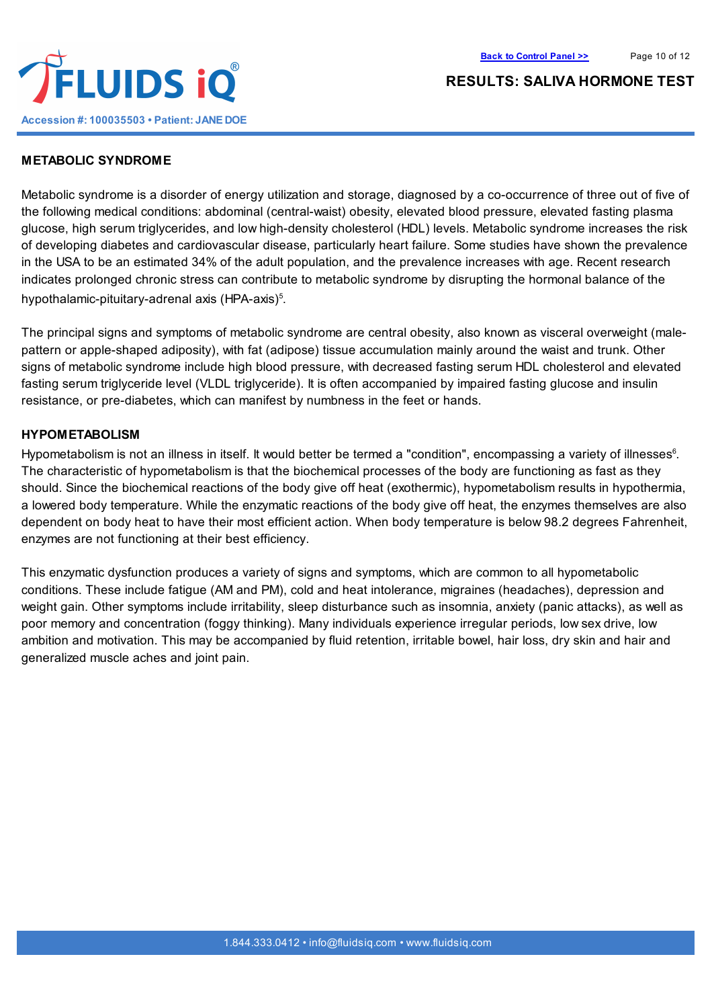

#### **METABOLIC SYNDROME**

Metabolic syndrome is a disorder of energy utilization and storage, diagnosed by a co-occurrence of three out of five of the following medical conditions: abdominal (central-waist) obesity, elevated blood pressure, elevated fasting plasma glucose, high serum triglycerides, and low high-density cholesterol (HDL) levels. Metabolic syndrome increases the risk of developing diabetes and cardiovascular disease, particularly heart failure. Some studies have shown the prevalence in the USA to be an estimated 34% of the adult population, and the prevalence increases with age. Recent research indicates prolonged chronic stress can contribute to metabolic syndrome by disrupting the hormonal balance of the hypothalamic-pituitary-adrenal axis (HPA-axis)<sup>5</sup>.

The principal signs and symptoms of metabolic syndrome are central obesity, also known as visceral overweight (malepattern or apple-shaped adiposity), with fat (adipose) tissue accumulation mainly around the waist and trunk. Other signs of metabolic syndrome include high blood pressure, with decreased fasting serum HDL cholesterol and elevated fasting serum triglyceride level (VLDL triglyceride). It is often accompanied by impaired fasting glucose and insulin resistance, or pre-diabetes, which can manifest by numbness in the feet or hands.

#### **HYPOMETABOLISM**

Hypometabolism is not an illness in itself. It would better be termed a "condition", encompassing a variety of illnesses<sup>6</sup>. The characteristic of hypometabolism is that the biochemical processes of the body are functioning as fast as they should. Since the biochemical reactions of the body give off heat (exothermic), hypometabolism results in hypothermia, a lowered body temperature. While the enzymatic reactions of the body give off heat, the enzymes themselves are also dependent on body heat to have their most efficient action. When body temperature is below 98.2 degrees Fahrenheit, enzymes are not functioning at their best efficiency.

This enzymatic dysfunction produces a variety of signs and symptoms, which are common to all hypometabolic conditions. These include fatigue (AM and PM), cold and heat intolerance, migraines (headaches), depression and weight gain. Other symptoms include irritability, sleep disturbance such as insomnia, anxiety (panic attacks), as well as poor memory and concentration (foggy thinking). Many individuals experience irregular periods, low sex drive, low ambition and motivation. This may be accompanied by fluid retention, irritable bowel, hair loss, dry skin and hair and generalized muscle aches and joint pain.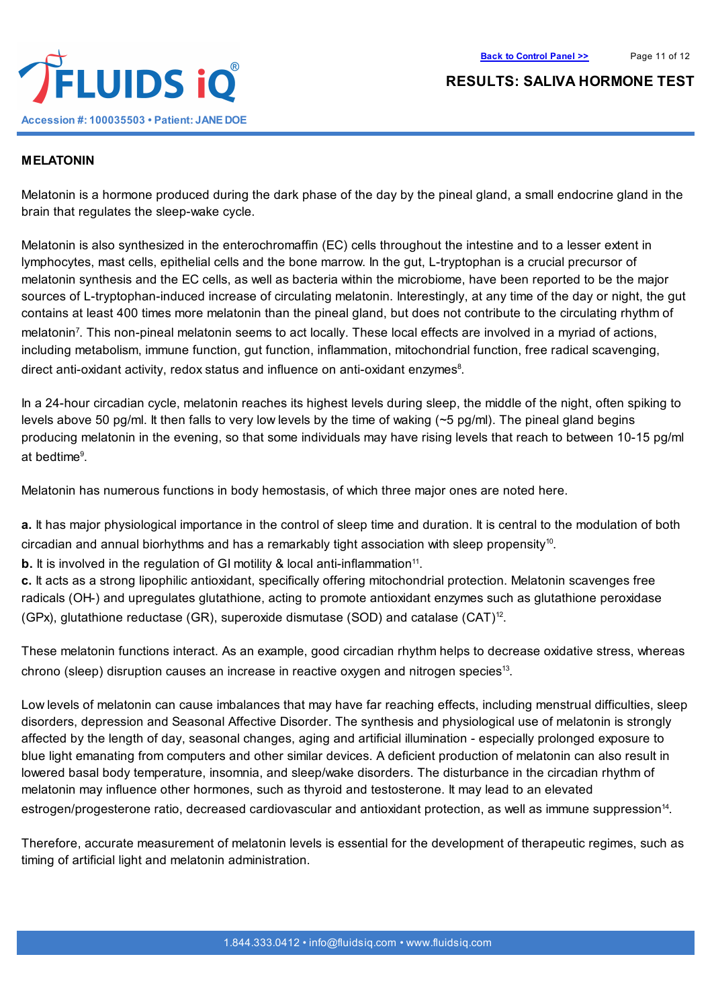

# **MELATONIN**

Melatonin is a hormone produced during the dark phase of the day by the pineal gland, a small endocrine gland in the brain that regulates the sleep-wake cycle.

Melatonin is also synthesized in the enterochromaffin (EC) cells throughout the intestine and to a lesser extent in lymphocytes, mast cells, epithelial cells and the bone marrow. In the gut, L-tryptophan is a crucial precursor of melatonin synthesis and the EC cells, as well as bacteria within the microbiome, have been reported to be the major sources of L-tryptophan-induced increase of circulating melatonin. Interestingly, at any time of the day or night, the gut contains at least 400 times more melatonin than the pineal gland, but does not contribute to the circulating rhythm of melatonin 7 . This non-pineal melatonin seems to act locally. These local effects are involved in a myriad of actions, including metabolism, immune function, gut function, inflammation, mitochondrial function, free radical scavenging, direct anti-oxidant activity, redox status and influence on anti-oxidant enzymes<sup>8</sup>.

In a 24-hour circadian cycle, melatonin reaches its highest levels during sleep, the middle of the night, often spiking to levels above 50 pg/ml. It then falls to very low levels by the time of waking  $(-5 \text{ pg/ml})$ . The pineal gland begins producing melatonin in the evening, so that some individuals may have rising levels that reach to between 10-15 pg/ml at bedtime 9 .

Melatonin has numerous functions in body hemostasis, of which three major ones are noted here.

**a.** It has major physiological importance in the control of sleep time and duration. It is central to the modulation of both circadian and annual biorhythms and has a remarkably tight association with sleep propensity<sup>10</sup>.

**b.** It is involved in the regulation of GI motility & local anti-inflammation<sup>11</sup>.

**c.** It acts as a strong lipophilic antioxidant, specifically offering mitochondrial protection. Melatonin scavenges free radicals (OH-) and upregulates glutathione, acting to promote antioxidant enzymes such as glutathione peroxidase (GPx), glutathione reductase (GR), superoxide dismutase (SOD) and catalase  $(CAT)^{12}$ .

These melatonin functions interact. As an example, good circadian rhythm helps to decrease oxidative stress, whereas chrono (sleep) disruption causes an increase in reactive oxygen and nitrogen species 13 .

Low levels of melatonin can cause imbalances that may have far reaching effects, including menstrual difficulties, sleep disorders, depression and Seasonal Affective Disorder. The synthesis and physiological use of melatonin is strongly affected by the length of day, seasonal changes, aging and artificial illumination - especially prolonged exposure to blue light emanating from computers and other similar devices. A deficient production of melatonin can also result in lowered basal body temperature, insomnia, and sleep/wake disorders. The disturbance in the circadian rhythm of melatonin may influence other hormones, such as thyroid and testosterone. It may lead to an elevated estrogen/progesterone ratio, decreased cardiovascular and antioxidant protection, as well as immune suppression<sup>14</sup>.

Therefore, accurate measurement of melatonin levels is essential for the development of therapeutic regimes, such as timing of artificial light and melatonin administration.